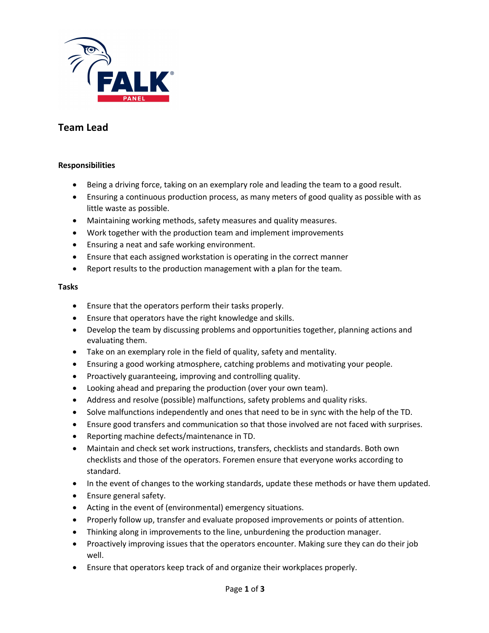

# **Team Lead**

# **Responsibilities**

- Being a driving force, taking on an exemplary role and leading the team to a good result.
- Ensuring a continuous production process, as many meters of good quality as possible with as little waste as possible.
- Maintaining working methods, safety measures and quality measures.
- Work together with the production team and implement improvements
- Ensuring a neat and safe working environment.
- Ensure that each assigned workstation is operating in the correct manner
- Report results to the production management with a plan for the team.

### **Tasks**

- Ensure that the operators perform their tasks properly.
- Ensure that operators have the right knowledge and skills.
- Develop the team by discussing problems and opportunities together, planning actions and evaluating them.
- Take on an exemplary role in the field of quality, safety and mentality.
- Ensuring a good working atmosphere, catching problems and motivating your people.
- Proactively guaranteeing, improving and controlling quality.
- Looking ahead and preparing the production (over your own team).
- Address and resolve (possible) malfunctions, safety problems and quality risks.
- Solve malfunctions independently and ones that need to be in sync with the help of the TD.
- Ensure good transfers and communication so that those involved are not faced with surprises.
- Reporting machine defects/maintenance in TD.
- Maintain and check set work instructions, transfers, checklists and standards. Both own checklists and those of the operators. Foremen ensure that everyone works according to standard.
- In the event of changes to the working standards, update these methods or have them updated.
- Ensure general safety.
- Acting in the event of (environmental) emergency situations.
- Properly follow up, transfer and evaluate proposed improvements or points of attention.
- Thinking along in improvements to the line, unburdening the production manager.
- Proactively improving issues that the operators encounter. Making sure they can do their job well.
- Ensure that operators keep track of and organize their workplaces properly.